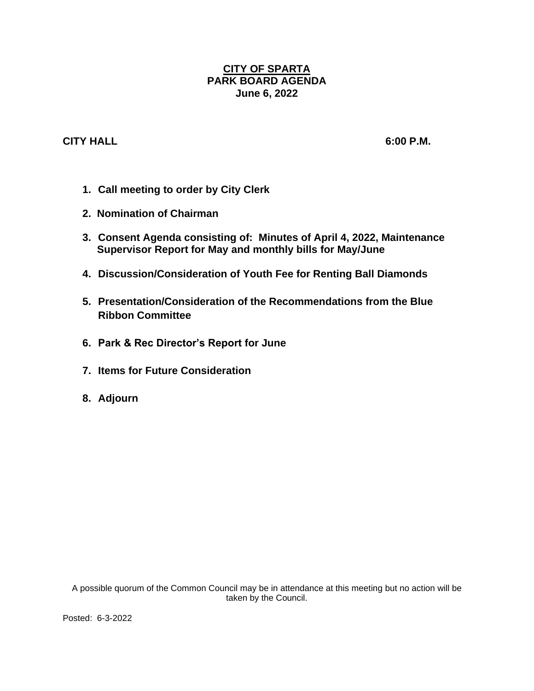# **CITY OF SPARTA PARK BOARD AGENDA June 6, 2022**

# **CITY HALL 6:00 P.M.**

- **1. Call meeting to order by City Clerk**
- **2. Nomination of Chairman**
- **3. Consent Agenda consisting of: Minutes of April 4, 2022, Maintenance Supervisor Report for May and monthly bills for May/June**
- **4. Discussion/Consideration of Youth Fee for Renting Ball Diamonds**
- **5. Presentation/Consideration of the Recommendations from the Blue Ribbon Committee**
- **6. Park & Rec Director's Report for June**
- **7. Items for Future Consideration**
- **8. Adjourn**

A possible quorum of the Common Council may be in attendance at this meeting but no action will be taken by the Council.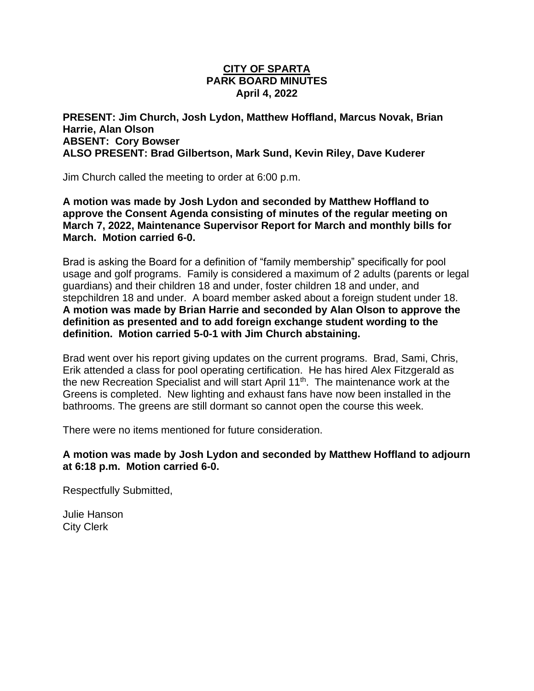## **CITY OF SPARTA PARK BOARD MINUTES April 4, 2022**

## **PRESENT: Jim Church, Josh Lydon, Matthew Hoffland, Marcus Novak, Brian Harrie, Alan Olson ABSENT: Cory Bowser ALSO PRESENT: Brad Gilbertson, Mark Sund, Kevin Riley, Dave Kuderer**

Jim Church called the meeting to order at 6:00 p.m.

**A motion was made by Josh Lydon and seconded by Matthew Hoffland to approve the Consent Agenda consisting of minutes of the regular meeting on March 7, 2022, Maintenance Supervisor Report for March and monthly bills for March. Motion carried 6-0.**

Brad is asking the Board for a definition of "family membership" specifically for pool usage and golf programs. Family is considered a maximum of 2 adults (parents or legal guardians) and their children 18 and under, foster children 18 and under, and stepchildren 18 and under. A board member asked about a foreign student under 18. **A motion was made by Brian Harrie and seconded by Alan Olson to approve the definition as presented and to add foreign exchange student wording to the definition. Motion carried 5-0-1 with Jim Church abstaining.**

Brad went over his report giving updates on the current programs. Brad, Sami, Chris, Erik attended a class for pool operating certification. He has hired Alex Fitzgerald as the new Recreation Specialist and will start April 11th. The maintenance work at the Greens is completed. New lighting and exhaust fans have now been installed in the bathrooms. The greens are still dormant so cannot open the course this week.

There were no items mentioned for future consideration.

## **A motion was made by Josh Lydon and seconded by Matthew Hoffland to adjourn at 6:18 p.m. Motion carried 6-0.**

Respectfully Submitted,

Julie Hanson City Clerk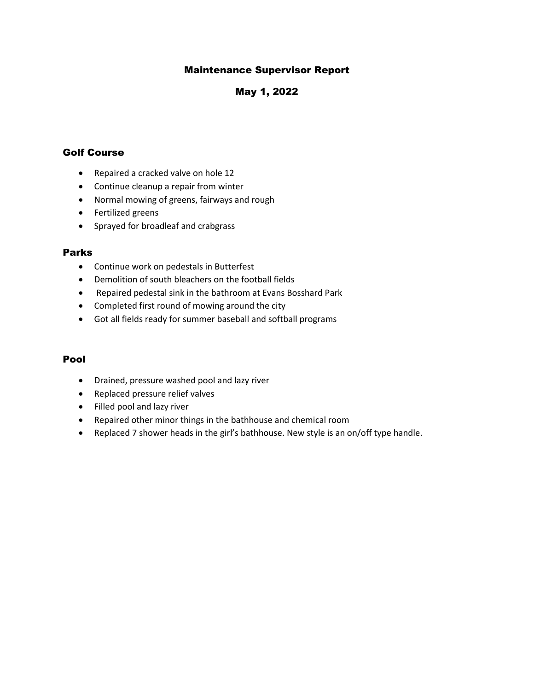## Maintenance Supervisor Report

## May 1, 2022

### Golf Course

- Repaired a cracked valve on hole 12
- Continue cleanup a repair from winter
- Normal mowing of greens, fairways and rough
- Fertilized greens
- Sprayed for broadleaf and crabgrass

### Parks

- Continue work on pedestals in Butterfest
- Demolition of south bleachers on the football fields
- Repaired pedestal sink in the bathroom at Evans Bosshard Park
- Completed first round of mowing around the city
- Got all fields ready for summer baseball and softball programs

#### Pool

- Drained, pressure washed pool and lazy river
- Replaced pressure relief valves
- Filled pool and lazy river
- Repaired other minor things in the bathhouse and chemical room
- Replaced 7 shower heads in the girl's bathhouse. New style is an on/off type handle.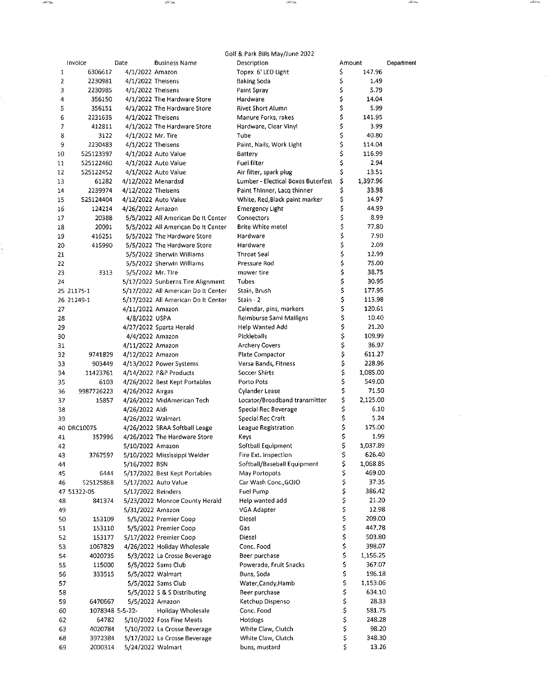| Golf & Park Bills May/June 2022 |                 |                     |                                     |                                    |        |          |            |
|---------------------------------|-----------------|---------------------|-------------------------------------|------------------------------------|--------|----------|------------|
|                                 | Invoice         | Date                | <b>Business Name</b>                | Description                        | Amount |          | Department |
| 1                               | 6306617         | 4/1/2022 Amazon     |                                     | Topex 6' LED Light                 | \$     | 147.96   |            |
| 2                               | 2230981         | $4/1/2022$ Theisens |                                     | <b>Baking Soda</b>                 | \$     | 1.49     |            |
| з                               | 2230985         | 4/1/2022 Theisens   |                                     | Paint Spray                        | \$     | 5.79     |            |
| 4                               | 356150          |                     | 4/1/2022 The Hardware Store         | Hardware                           | \$     | 14.04    |            |
| 5                               | 356151          |                     | 4/1/2022 The Hardware Store         | <b>Rivet Short Alumn</b>           | \$     | 5.99     |            |
| 6                               | 2231635         | 4/1/2022 Theisens   |                                     | Manure Forks, rakes                | \$     | 141.95   |            |
| 7                               | 412811          |                     | 4/1/2022 The Hardware Store         | Hardware, Clear Vinyl              | \$     | 3.99     |            |
| 8                               | 3122            | 4/1/2022 Mr. Tire   |                                     | Tube                               | \$     | 40.80    |            |
| 9                               | 2230483         | 4/1/2022 Theisens   |                                     | Paint, Nails, Work Light           | \$     | 114.04   |            |
| 10                              | 525123397       |                     | 4/1/2022 Auto Value                 | Battery                            | \$     | 116.99   |            |
| 11                              | 525122460       |                     | 4/1/2022 Auto Value                 | Fuel filter                        | \$     | 2.94     |            |
| 12                              | 525122452       |                     | 4/1/2022 Auto Value                 | Air filter, spark plug             | \$     | 13.51    |            |
| 13                              | 61282           |                     | 4/12/2022 Menardsd                  | Lumber - Electical Boxes Buterfest | \$     | 1,397.96 |            |
| 14                              | 2239974         | 4/12/2022 Theisens  |                                     | Paint Thinner, Lacq thinner        | \$     | 33.98    |            |
| 15                              | 525124404       |                     | 4/12/2022 Auto Value                | White, Red, Black paint marker     | \$     | 14.97    |            |
| 16                              | 124214          | 4/26/2022 Amazon    |                                     | <b>Emergency Light</b>             | \$     | 44.99    |            |
| 17                              | 20388           |                     | 5/5/2022 All American Do It Center  | Connectors                         | \$     | 8.99     |            |
| 18                              | 20091           |                     | 5/5/2022 All American Do It Center  | <b>Brite White metel</b>           | \$     | 77.80    |            |
| 19                              | 416251          |                     | 5/5/2022 The Hardware Store         | Hardware                           | \$     | 7.90     |            |
| 20                              | 415990          |                     | 5/5/2022 The Hardware Store         | Hardware                           | \$     | 2.09     |            |
| 21                              |                 |                     | 5/5/2022 Sherwin Williams           | <b>Throat Seal</b>                 | \$     | 12.99    |            |
| 22                              |                 |                     | 5/5/2022 Sherwin Williams           | Pressure Rod                       | \$     | 75.00    |            |
| 23                              | 3313            | 5/5/2022 Mr. Tire   |                                     | mower tire                         | \$     | 38.75    |            |
| 24                              |                 |                     | 5/17/2022 Sunberns Tire Alignment   | Tubes                              | \$     | 30.95    |            |
|                                 | 25 21175-1      |                     | 5/17/2022 All American Do It Center | Stain, Brush                       | \$     | 177.95   |            |
|                                 | 26 21249-1      |                     | 5/17/2022 All American Do It Center | Stain - 2                          | \$     | 113.98   |            |
| 27                              |                 | 4/11/2022 Amazon    |                                     | Calendar, pins, markers            | \$     | 120.61   |            |
| 28                              |                 | 4/8/2022 USPA       |                                     | Reimburse Sami Mailigns            | \$     | 10.40    |            |
| 29                              |                 |                     | 4/27/2022 Sparta Herald             | Help Wanted Add                    | \$     | 21.20    |            |
| 30                              |                 |                     | 4/4/2022 Amazon                     | Pickleballs                        | \$     | 109.99   |            |
| 31                              |                 | 4/11/2022 Amazon    |                                     | <b>Archery Covers</b>              | \$     | 36.97    |            |
| 32                              | 9741829         | 4/12/2022 Amazon    |                                     | Plate Compactor                    | \$     | 611.27   |            |
| 33                              | 903449          |                     | 4/13/2022 Power Systems             | Versa Bands, Fitness               | \$     | 228.96   |            |
| 34                              | 11423761        |                     | 4/14/2022 P&P Products              | Soccer Shirts                      | \$     | 1,085.00 |            |
| 35                              | 6103            |                     | 4/26/2022 Best Kept Portables       | Porto Pots                         | \$     | 549.00   |            |
| 36                              | 9987726223      | 4/26/2022 Airgas    |                                     | Cylander Lease                     | \$     | 71.50    |            |
| 37                              | 15857           |                     | 4/26/2022 MidAmerican Tech          | Locator/Broadband transmitter      | \$     | 2,125.00 |            |
| 38                              |                 | 4/26/2022 Aldi      |                                     | Special Rec Beverage               | \$     | 6.10     |            |
| 39                              |                 | 4/26/2022 Walmart   |                                     | Special Rec Craft                  | \$     | 5.24     |            |
|                                 | 40 DRC10075     |                     | 4/26/2022 SRAA Softball Leage       | League Registration                | \$     | 175.00   |            |
| 41                              | 357996          |                     | 4/26/2022 The Hardware Store        | Keys                               | Ś      | 1.99     |            |
| 42                              |                 | 5/10/2022 Amazon    |                                     | Softball Equipment                 | \$     | 1,037.89 |            |
| 43                              | 3767597         |                     | 5/10/2022 Mississippi Welder        | Fire Ext. inspection               | \$     | 626.40   |            |
| 44                              |                 | 5/16/2022 BSN       |                                     | Softball/Baseball Equipment        | \$     | 1,068.85 |            |
| 45                              | 6444            |                     | 5/17/2022 Best Kept Portables       | May Portopots                      | \$     | 469.00   |            |
| 46                              | 525125868       |                     | 5/17/2022 Auto Value                | Car Wash Conc., GOJO               | \$     | 37.35    |            |
|                                 | 47 51322-05     | 5/17/2022 Reinders  |                                     | Fuel Pump                          | \$     | 386.42   |            |
| 48                              | 841374          |                     | 5/23/2022 Monroe County Herald      | Help wanted add                    | \$     | 21.20    |            |
| 49                              |                 | 5/31/2022 Amazon    |                                     | VGA Adapter                        | \$     | 12.98    |            |
| 50                              | 153109          |                     | 5/5/2022 Premier Coop               | Diesel                             | \$     | 209.00   |            |
| 51                              | 153110          |                     | 5/5/2022 Premier Coop               | Gas                                | \$     | 447.78   |            |
| 52                              | 153177          |                     | 5/17/2022 Premier Coop              | Diesel                             | \$     | 503.80   |            |
| 53                              | 1067829         |                     | 4/26/2022 Holiday Wholesale         | Conc. Food                         | \$     | 398,07   |            |
| 54                              | 4020735         |                     | 5/3/2022 La Crosse Beverage         | Beer purchase                      | \$     | 1,156.25 |            |
| 55                              | 115000          |                     | 5/5/2022 Sams Club                  | Powerade, Fruit Snacks             | \$     | 367.07   |            |
| 56                              | 333515          |                     | 5/5/2022 Walmart                    | Buns, Soda                         | \$     | 196.18   |            |
| 57                              |                 |                     | 5/5/2022 Sams Club                  | Water, Candy, Hamb                 | \$     | 1,153.06 |            |
| 58                              |                 |                     | 5/5/2022 S & S Distributing         | Beer purchase                      | \$     | 634.10   |            |
| 59                              | 6470667         |                     | 5/5/2022 Amazon                     | Ketchup Dispenso                   | \$     | 28.33    |            |
| 60                              | 1078348 5-5-22- |                     | Holiday Wholesale                   | Conc. Food                         | \$     | 581.75   |            |
| 62                              | 64782           |                     | 5/10/2022 Foss Fine Meats           | Hotdogs                            | \$     | 248.28   |            |
| 63                              | 4020784         |                     | 5/10/2022 La Crosse Beverage        | White Claw, Clutch                 | \$     | 98.20    |            |
| 68                              | 3972384         |                     | 5/17/2022 La Crosse Beverage        | White Claw, Clutch                 | \$     | 348.30   |            |
| 69                              | 2000314         |                     | 5/24/2022 Walmart                   | buns, mustard                      | \$     | 13.26    |            |

وتنازعته

 $\hat{\mathcal{L}}$ 

t<br>1

 $\epsilon$  and  $\epsilon$ 

North

ikina

 $\label{eq:2} \mathcal{L} = \mathcal{L} \left( \mathcal{L} \right) \mathcal{L} \left( \mathcal{L} \right)$ 

micio

 $\hat{\mathcal{A}}$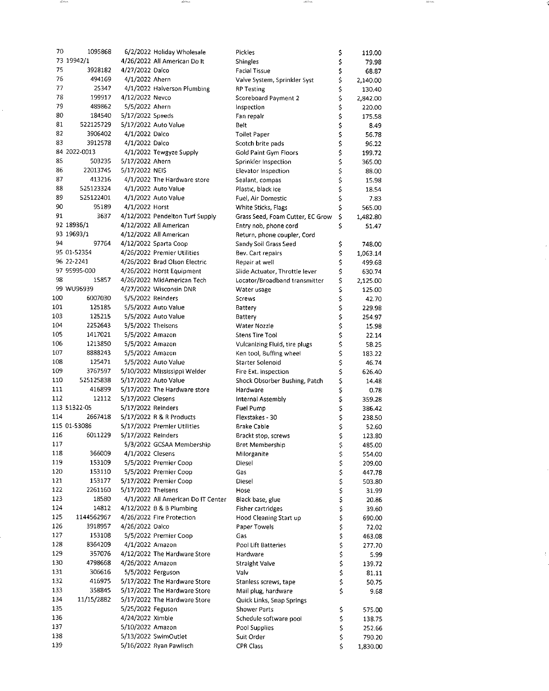| 70  | 1095868      |                    |                                    |                                  |    |          |
|-----|--------------|--------------------|------------------------------------|----------------------------------|----|----------|
|     |              |                    | 6/2/2022 Holiday Wholesale         | Pickles                          | \$ | 119.00   |
|     | 73 19942/1   |                    | 4/26/2022 All American Dolt        | Shingles                         | \$ | 79.98    |
| 75  | 3928182      | 4/27/2022 Dalco    |                                    | <b>Facial Tissue</b>             | \$ | 68.87    |
| 76  | 494169       | 4/1/2022 Ahern     |                                    | Valve System, Sprinkler Syst     | \$ | 2,140.00 |
| 77  | 25347        |                    | 4/1/2022 Halverson Plumbing        | <b>RP Testing</b>                | \$ | 130.40   |
| 78  | 199917       | 4/12/2022 Nevco    |                                    | Scoreboard Payment 2             | \$ | 2,842.00 |
| 79  | 489862       | 5/5/2022 Ahern     |                                    | Inspection                       | \$ | 220.00   |
| 80  | 184540       |                    |                                    |                                  |    |          |
|     |              | 5/17/2022 Speeds   |                                    | Fan repair                       | \$ | 175.58   |
| 81  | 522125729    |                    | 5/17/2022 Auto Value               | Belt                             | \$ | 8.49     |
| 82  | 3906402      | 4/1/2022 Dalco     |                                    | <b>Toilet Paper</b>              | \$ | 56.78    |
| 83  | 3912578      | 4/1/2022 Dalco     |                                    | Scotch brite pads                | \$ | 96.22    |
|     | 84 2022-0013 |                    | 4/1/2022 Tewgyze Supply            | Gold Paint Gym Floors            | \$ | 199.72   |
| 85  | 503235       | 5/17/2022 Ahern    |                                    | Sprinkler Inspection             | \$ | 365.00   |
| 86  | 22013745     |                    |                                    |                                  |    |          |
|     |              | 5/17/2022 NEIS     |                                    | Elevator Inspection              | \$ | 88.00    |
| 87  | 413216       |                    | 4/1/2022 The Hardware store        | Sealant, compas                  | \$ | 15.98    |
| 88  | 525123324    |                    | 4/1/2022 Auto Value                | Plastic, black ice               | \$ | 18.54    |
| 89  | 525122401    |                    | 4/1/2022 Auto Value                | Fuel, Air Domestic               | \$ | 7.83     |
| 90  | 95189        | 4/1/2022 Horst     |                                    | White Sticks, Flags              | \$ | 565.00   |
| 91  | 3637         |                    | 4/12/2022 Pendelton Turf Supply    | Grass Seed, Foam Cutter, EC Grow | \$ |          |
|     |              |                    |                                    |                                  |    | 1,482.80 |
|     | 92 18935/1   |                    | 4/12/2022 All American             | Entry nob, phone cord            | \$ | 51.47    |
|     | 93 19693/1   |                    | 4/12/2022 All American             | Return, phone coupler, Cord      |    |          |
| 94  | 97764        |                    | 4/12/2022 Sparta Coop              | Sandy Soil Grass Seed            | \$ | 748.00   |
|     | 95 01-52354  |                    | 4/26/2022 Premier Utilities        | Bev. Cart repairs                | \$ | 1,063.14 |
|     | 96 22-2241   |                    | 4/26/2022 Brad Olson Electric      | Repair at well                   | \$ | 499.68   |
|     | 97 95995-000 |                    | 4/26/2022 Horst Equipment          | Slide Actuator, Throttle lever   | \$ | 630.74   |
| 98  | 15857        |                    | 4/26/2022 MidAmerican Tech         |                                  |    |          |
|     |              |                    |                                    | Locator/Broadband transmitter    | \$ | 2,125.00 |
|     | 99 WU96939   |                    | 4/27/2022 Wisconsin DNR            | Water usage                      | \$ | 125.00   |
| 100 | 6007030      | 5/5/2022 Reinders  |                                    | Screws                           | \$ | 42.70    |
| 101 | 125185       |                    | 5/5/2022 Auto Value                | Battery                          | \$ | 229.98   |
| 103 | 125215       |                    | 5/5/2022 Auto Value                | Battery                          | \$ | 254.97   |
| 104 | 2252643      | 5/5/2022 Theisens  |                                    | Water Nozzie                     | \$ | 15.98    |
| 105 | 1417021      | 5/5/2022 Amazon    |                                    |                                  |    |          |
|     |              |                    |                                    | Stens Tire Tool                  | \$ | 22.14    |
| 106 | 1213850      | 5/5/2022 Amazon    |                                    | Vulcanizing Fluid, tire plugs    | \$ | 58.25    |
| 107 | 8888243      | 5/5/2022 Amazon    |                                    | Ken tool, Buffing wheel          | \$ | 183.22   |
| 108 | 125471       |                    | 5/5/2022 Auto Value                | Starter Solenoid                 | \$ | 46.74    |
| 109 | 3767597      |                    | 5/10/2022 Mississippi Welder       | Fire Ext. inspection             | \$ | 626.40   |
| 110 | 525125838    |                    | 5/17/2022 Auto Value               | Shock Obsorber Bushing, Patch    | \$ | 14.48    |
| 111 | 416899       |                    | 5/17/2022 The Hardware store       | Hardware                         |    |          |
|     |              |                    |                                    |                                  | \$ | 0.78     |
| 112 | 12112        | 5/17/2022 Clesens  |                                    | Internal Assembly                | \$ | 359.28   |
|     | 113 51322-05 | 5/17/2022 Reinders |                                    | Fuel Pump                        | \$ | 386.42   |
| 114 | 2667418      |                    | 5/17/2022 R & R Products           | Flexstakes - 30                  | \$ | 238.50   |
|     | 115 01-53086 |                    | 5/17/2022 Premier Utilities        | Brake Cable                      | \$ | 52.60    |
| 116 | 6011229      | 5/17/2022 Reinders |                                    | Brackt stop, screws              | \$ | 123.80   |
| 117 |              |                    | 5/3/2022 GCSAA Membership          |                                  |    |          |
|     |              |                    |                                    | Bret Membership                  | Ş  | 485.00   |
| 118 | 366009       | 4/1/2022 Clesens   |                                    | Milorganite                      | \$ | 554.00   |
| 119 | 153109       |                    | 5/5/2022 Premier Coop              | Diesel                           | \$ | 209.00   |
| 120 | 153110       |                    | 5/5/2022 Premier Coop              | Gas                              | \$ | 447.78   |
| 121 | 153177       |                    | 5/17/2022 Premier Coop             | Diesel                           | \$ | 503.80   |
| 122 | 2261160      | 5/17/2022 Theisens |                                    | Hose                             | \$ | 31.99    |
| 123 | 18580        |                    | 4/1/2022 All American Do IT Center | Black base, glue                 | \$ | 20.86    |
|     |              |                    |                                    |                                  |    |          |
| 124 | 14812        |                    | 4/12/2022 B & B Plumbing           | <b>Fisher cartridges</b>         | \$ | 39.60    |
| 125 | 1144562967   |                    | 4/26/2022 Fire Protection          | Hood Cleaning Start up           | \$ | 690.00   |
| 126 | 3918957      | 4/26/2022 Dalco    |                                    | Paper Towels                     | \$ | 72.02    |
| 127 | 153108       |                    | 5/5/2022 Premier Coop              | Gas                              | \$ | 463.08   |
| 128 | 8364209      | 4/1/2022 Amazon    |                                    | Pool Lift Batteries              | \$ | 277 70   |
| 129 | 357076       |                    | 4/12/2022 The Hardware Store       | Hardware                         | \$ | 5.99     |
| 130 |              |                    |                                    |                                  |    |          |
|     | 4798668      | 4/26/2022 Amazon   |                                    | <b>Straight Valve</b>            | \$ | 139.72   |
| 131 | 306616       | 5/5/2022 Ferguson  |                                    | Valv                             | \$ | 81.11    |
| 132 | 416975       |                    | 5/17/2022 The Hardware Store       | Stanless screws, tape            | \$ | 50.75    |
| 133 | 358845       |                    | 5/17/2022 The Hardware Store       | Mail plug, hardware              | \$ | 9.68     |
| 134 | 11/15/2882   |                    | 5/17/2022 The Hardware Store       | Quick Links, Snap Springs        |    |          |
| 135 |              | 5/25/2022 Feguson  |                                    | <b>Shower Parts</b>              |    | 575.00   |
| 136 |              |                    |                                    |                                  | Ş  |          |
|     |              | 4/24/2022 Ximble   |                                    | Schedule software pool           | \$ | 138.75   |
| 137 |              | 5/10/2022 Amazon   |                                    | Pool Supplies                    | \$ | 252.66   |
| 138 |              |                    | 5/13/2022 SwimOutlet               | Suit Order                       | \$ | 790.20   |
| 139 |              |                    | 5/16/2022 Ryan Pawlisch            | <b>CPR Class</b>                 | Ś  | 1,830.00 |

بمخت

albert

20 Februar

**Additional**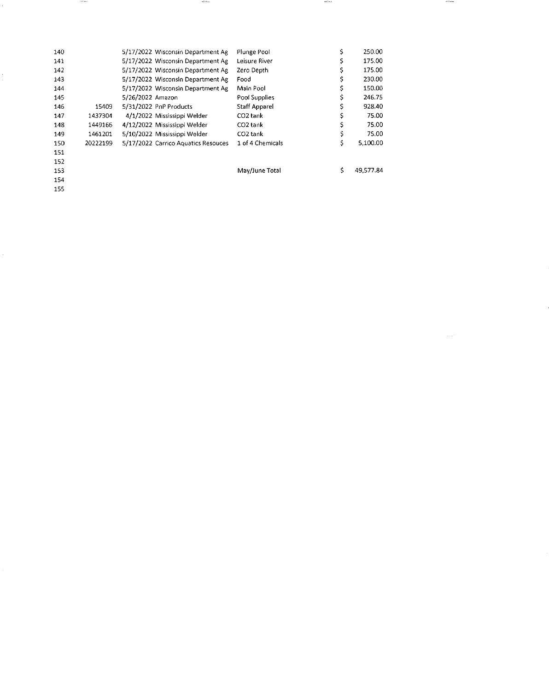| 140 |          |                  | 5/17/2022 Wisconsin Department Ag   | Plunge Pool          | 250.00    |
|-----|----------|------------------|-------------------------------------|----------------------|-----------|
| 141 |          |                  | 5/17/2022 Wisconsin Department Ag   | Leisure River        | 175.00    |
| 142 |          |                  | 5/17/2022 Wisconsin Department Ag   | Zero Depth           | 175.00    |
| 143 |          |                  | 5/17/2022 Wisconsin Department Ag   | Food                 | 230.00    |
| 144 |          |                  | 5/17/2022 Wisconsin Department Ag   | Main Pool            | 150.00    |
| 145 |          | 5/26/2022 Amazon |                                     | Pool Supplies        | 246.75    |
| 146 | 15409    |                  | 5/31/2022 PnP Products              | <b>Staff Apparel</b> | 928.40    |
| 147 | 1437304  |                  | 4/1/2022 Mississippi Welder         | CO <sub>2</sub> tank | 75.00     |
| 148 | 1449166  |                  | 4/12/2022 Mississippi Welder        | CO <sub>2</sub> tank | 75.00     |
| 149 | 1461201  |                  | 5/10/2022 Mississippi Welder        | CO <sub>2</sub> tank | 75.00     |
| 150 | 20222199 |                  | 5/17/2022 Carrico Aquatics Resouces | 1 of 4 Chemicals     | 5,100.00  |
| 151 |          |                  |                                     |                      |           |
| 152 |          |                  |                                     |                      |           |
| 153 |          |                  |                                     | May/June Total       | 49,577.84 |
| 154 |          |                  |                                     |                      |           |

stellen

**Section** 

 $\sim$ 

 $\overline{155}$ 

 $\hat{\vec{r}}$ 

**Incents**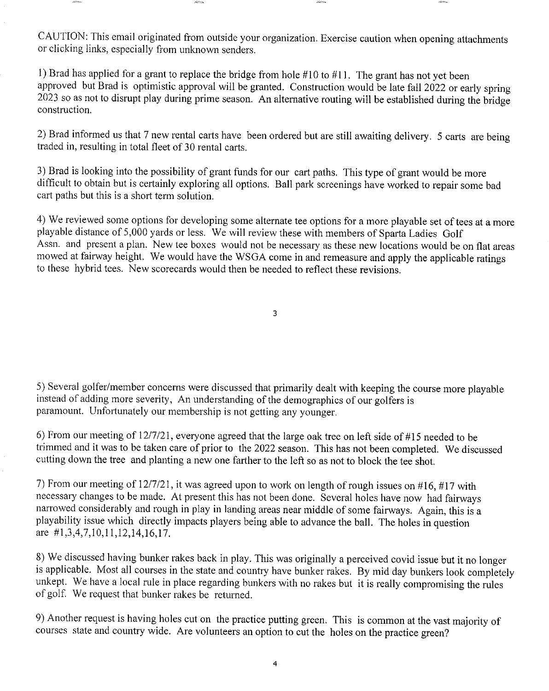CAUTION: This email originated from outside your organization. Exercise caution when opening attachments or clicking links, especially from unknown senders.

l) Brad has applied for a grant to replace the bridge from hole  $#10$  to  $#11$ . The grant has not yet been approved but Brad is optimistic approval will be granted. Construction would be late fall 2022 or early spring 2023 so as not to disrupt play during prime season. An alternative routing will be established during the bridge construction.

2) Brad informed us that 7 new rental carts have been ordered but are still awaiting delivery. 5 carts are being traded in, resulting in total fleet of 30 rental carts.

3) Brad is looking into the possibility of grant funds for our cart paths. This type of grant would be more difficult to obtain but is certainly exploring all options. Ball park screenings have worked to repair some bad cart paths but this is a short term solution.

4) We reviewed sone options for developing some alternate tee options for a more playable set of tees at a more playable distance of 5,000 yards or less. We will review these with members of Sparta Ladies Golf Assn. and present a plan. New tee boxes would not be necessary as these new locations would be on flat areas mowed at fairway height. We would have the WSGA come in and remeasure and apply the applicable ratings to these hybrid tees. New scorecards would then be needed to reflect these revisions.

3

5) Several golfer/member concerns were discussed that primarily dealt with keeping the course more playable instead of adding more severity, An understanding of the demographics of our golfers is paramount. Unfortunately our membership is not getting any younger.

6) From our meeting of  $12/7/21$ , everyone agreed that the large oak tree on left side of #15 needed to be trimmed and it was to be taken care of prior to the 2022 season. This has not been completed. We discussed cutting down the tree and planting a new one farther to the left so as not to block the tee shot,

7) From our meeting of  $12/7/21$ , it was agreed upon to work on length of rough issues on #16, #17 with necessary changes to be made. At present this has not been done. Several holes have now had fairways narrowed considerably and rough in play in landing areas near middle of some fairways. Again, this is a playability issue which directly impacts players being able to advance the ball. The holes in question are  $\#1,3,4,7,10,11,12,14,16,17$ .

8) We discussed having bunker rakes back in play. This was originally a perceived covid issue but it no longer is applicable. Most all courses in the state and country have bunker rakes. By mid day bunkers look completely unkept. We have a local rule in place regarding bunkers with no rakes but it is really compromising the rules of golf. We request that bunker rakes be returned.

9) Another request is having holes cut on the practice putting green. This is common at the vast majority of courses state and country wide. Are volunteers an option to cut the holes on the practice green?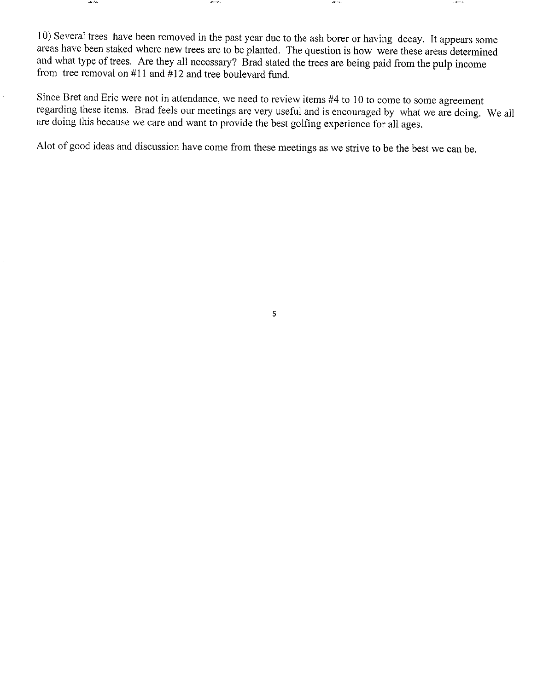l0) Several trees have been removed in the past year due to the ash borer or having decay. It appears some areas have been staked where new trees are to be planted. The question is how were these areas determined and what type of trees. Are they all necessary? Brad stated the trees are being paid from the pulp income from tree removal on  $#11$  and  $#12$  and tree boulevard fund.

 $\mathcal{A}(\mathcal{C})$  on

Since Bret and Eric were not in attendance, we need to review items #4 to 10 to come to some agreement regarding these items. Brad feels our meetings are very useful and is encouraged by what we are doing. We all are doing this because we care and want to provide the best golfing experience for all ages.

Alot of good ideas and discussion have come from these meetings as we strive to be the best we can be.

5